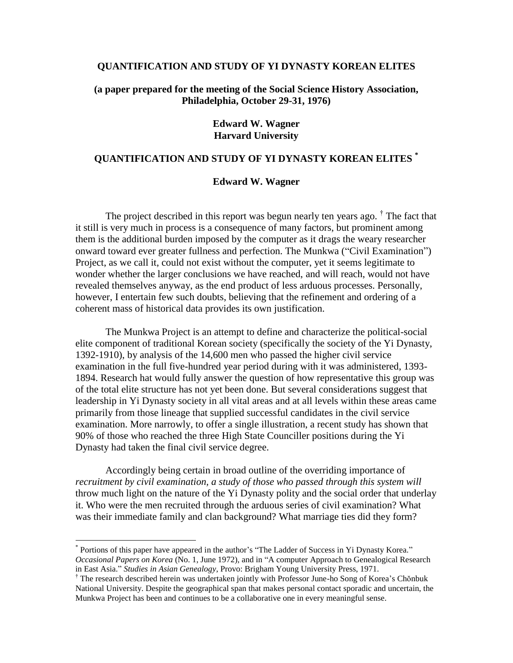### **QUANTIFICATION AND STUDY OF YI DYNASTY KOREAN ELITES**

## **(a paper prepared for the meeting of the Social Science History Association, Philadelphia, October 29-31, 1976)**

### **Edward W. Wagner Harvard University**

# **QUANTIFICATION AND STUDY OF YI DYNASTY KOREAN ELITES \***

#### **Edward W. Wagner**

The project described in this report was begun nearly ten years ago. <sup>†</sup> The fact that it still is very much in process is a consequence of many factors, but prominent among them is the additional burden imposed by the computer as it drags the weary researcher onward toward ever greater fullness and perfection. The Munkwa ("Civil Examination") Project, as we call it, could not exist without the computer, yet it seems legitimate to wonder whether the larger conclusions we have reached, and will reach, would not have revealed themselves anyway, as the end product of less arduous processes. Personally, however, I entertain few such doubts, believing that the refinement and ordering of a coherent mass of historical data provides its own justification.

The Munkwa Project is an attempt to define and characterize the political-social elite component of traditional Korean society (specifically the society of the Yi Dynasty, 1392-1910), by analysis of the 14,600 men who passed the higher civil service examination in the full five-hundred year period during with it was administered, 1393- 1894. Research hat would fully answer the question of how representative this group was of the total elite structure has not yet been done. But several considerations suggest that leadership in Yi Dynasty society in all vital areas and at all levels within these areas came primarily from those lineage that supplied successful candidates in the civil service examination. More narrowly, to offer a single illustration, a recent study has shown that 90% of those who reached the three High State Counciller positions during the Yi Dynasty had taken the final civil service degree.

Accordingly being certain in broad outline of the overriding importance of *recruitment by civil examination, a study of those who passed through this system will* throw much light on the nature of the Yi Dynasty polity and the social order that underlay it. Who were the men recruited through the arduous series of civil examination? What was their immediate family and clan background? What marriage ties did they form?

 $\overline{a}$ 

<sup>\*</sup> Portions of this paper have appeared in the author's "The Ladder of Success in Yi Dynasty Korea." *Occasional Papers on Korea* (No. 1, June 1972), and in "A computer Approach to Genealogical Research in East Asia." *Studies in Asian Genealogy*, Provo: Brigham Young University Press, 1971.

<sup>†</sup> The research described herein was undertaken jointly with Professor June-ho Song of Korea's Chŏnbuk National University. Despite the geographical span that makes personal contact sporadic and uncertain, the Munkwa Project has been and continues to be a collaborative one in every meaningful sense.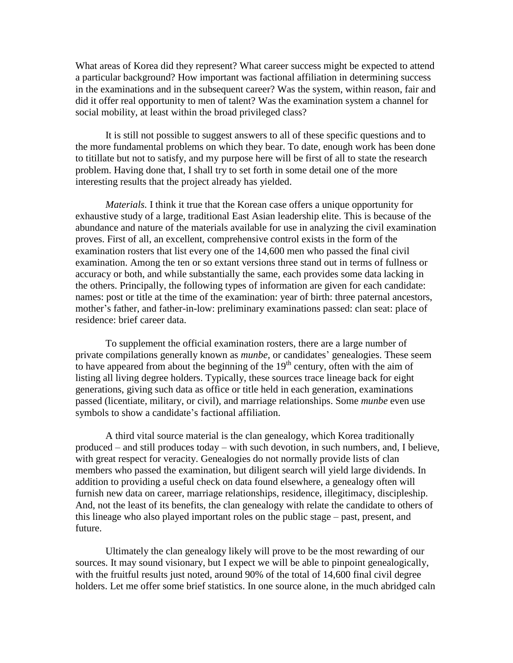What areas of Korea did they represent? What career success might be expected to attend a particular background? How important was factional affiliation in determining success in the examinations and in the subsequent career? Was the system, within reason, fair and did it offer real opportunity to men of talent? Was the examination system a channel for social mobility, at least within the broad privileged class?

It is still not possible to suggest answers to all of these specific questions and to the more fundamental problems on which they bear. To date, enough work has been done to titillate but not to satisfy, and my purpose here will be first of all to state the research problem. Having done that, I shall try to set forth in some detail one of the more interesting results that the project already has yielded.

*Materials.* I think it true that the Korean case offers a unique opportunity for exhaustive study of a large, traditional East Asian leadership elite. This is because of the abundance and nature of the materials available for use in analyzing the civil examination proves. First of all, an excellent, comprehensive control exists in the form of the examination rosters that list every one of the 14,600 men who passed the final civil examination. Among the ten or so extant versions three stand out in terms of fullness or accuracy or both, and while substantially the same, each provides some data lacking in the others. Principally, the following types of information are given for each candidate: names: post or title at the time of the examination: year of birth: three paternal ancestors, mother's father, and father-in-low: preliminary examinations passed: clan seat: place of residence: brief career data.

To supplement the official examination rosters, there are a large number of private compilations generally known as *munbe,* or candidates' genealogies. These seem to have appeared from about the beginning of the  $19<sup>th</sup>$  century, often with the aim of listing all living degree holders. Typically, these sources trace lineage back for eight generations, giving such data as office or title held in each generation, examinations passed (licentiate, military, or civil), and marriage relationships. Some *munbe* even use symbols to show a candidate's factional affiliation.

A third vital source material is the clan genealogy, which Korea traditionally produced – and still produces today – with such devotion, in such numbers, and, I believe, with great respect for veracity. Genealogies do not normally provide lists of clan members who passed the examination, but diligent search will yield large dividends. In addition to providing a useful check on data found elsewhere, a genealogy often will furnish new data on career, marriage relationships, residence, illegitimacy, discipleship. And, not the least of its benefits, the clan genealogy with relate the candidate to others of this lineage who also played important roles on the public stage – past, present, and future.

Ultimately the clan genealogy likely will prove to be the most rewarding of our sources. It may sound visionary, but I expect we will be able to pinpoint genealogically, with the fruitful results just noted, around 90% of the total of 14,600 final civil degree holders. Let me offer some brief statistics. In one source alone, in the much abridged caln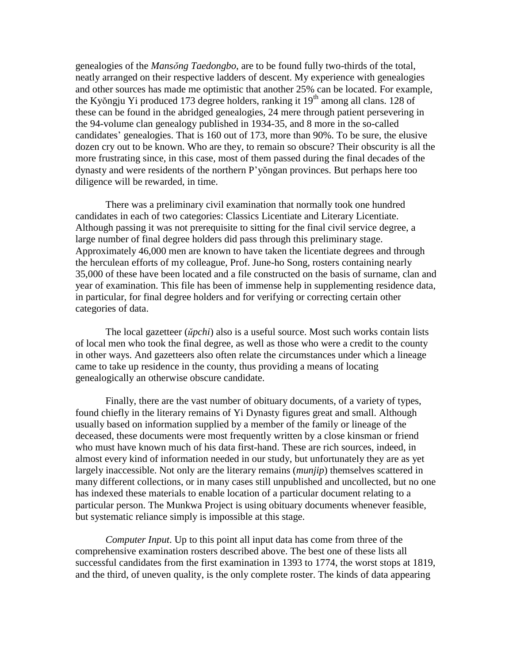genealogies of the *Mansŏng Taedongbo*, are to be found fully two-thirds of the total, neatly arranged on their respective ladders of descent. My experience with genealogies and other sources has made me optimistic that another 25% can be located. For example, the Kyŏngju Yi produced 173 degree holders, ranking it 19<sup>th</sup> among all clans. 128 of these can be found in the abridged genealogies, 24 mere through patient persevering in the 94-volume clan genealogy published in 1934-35, and 8 more in the so-called candidates' genealogies. That is 160 out of 173, more than 90%. To be sure, the elusive dozen cry out to be known. Who are they, to remain so obscure? Their obscurity is all the more frustrating since, in this case, most of them passed during the final decades of the dynasty and were residents of the northern P'yŏngan provinces. But perhaps here too diligence will be rewarded, in time.

There was a preliminary civil examination that normally took one hundred candidates in each of two categories: Classics Licentiate and Literary Licentiate. Although passing it was not prerequisite to sitting for the final civil service degree, a large number of final degree holders did pass through this preliminary stage. Approximately 46,000 men are known to have taken the licentiate degrees and through the herculean efforts of my colleague, Prof. June-ho Song, rosters containing nearly 35,000 of these have been located and a file constructed on the basis of surname, clan and year of examination. This file has been of immense help in supplementing residence data, in particular, for final degree holders and for verifying or correcting certain other categories of data.

The local gazetteer (*ŭpchi*) also is a useful source. Most such works contain lists of local men who took the final degree, as well as those who were a credit to the county in other ways. And gazetteers also often relate the circumstances under which a lineage came to take up residence in the county, thus providing a means of locating genealogically an otherwise obscure candidate.

Finally, there are the vast number of obituary documents, of a variety of types, found chiefly in the literary remains of Yi Dynasty figures great and small. Although usually based on information supplied by a member of the family or lineage of the deceased, these documents were most frequently written by a close kinsman or friend who must have known much of his data first-hand. These are rich sources, indeed, in almost every kind of information needed in our study, but unfortunately they are as yet largely inaccessible. Not only are the literary remains (*munjip*) themselves scattered in many different collections, or in many cases still unpublished and uncollected, but no one has indexed these materials to enable location of a particular document relating to a particular person. The Munkwa Project is using obituary documents whenever feasible, but systematic reliance simply is impossible at this stage.

*Computer Input*. Up to this point all input data has come from three of the comprehensive examination rosters described above. The best one of these lists all successful candidates from the first examination in 1393 to 1774, the worst stops at 1819, and the third, of uneven quality, is the only complete roster. The kinds of data appearing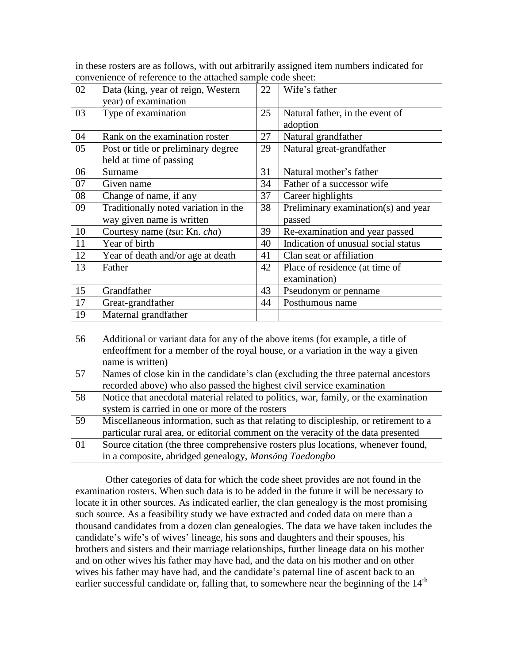in these rosters are as follows, with out arbitrarily assigned item numbers indicated for convenience of reference to the attached sample code sheet:

| 02 | Data (king, year of reign, Western   | 22 | Wife's father                       |
|----|--------------------------------------|----|-------------------------------------|
|    | year) of examination                 |    |                                     |
| 03 | Type of examination                  | 25 | Natural father, in the event of     |
|    |                                      |    | adoption                            |
| 04 | Rank on the examination roster       | 27 | Natural grandfather                 |
| 05 | Post or title or preliminary degree  | 29 | Natural great-grandfather           |
|    | held at time of passing              |    |                                     |
| 06 | Surname                              | 31 | Natural mother's father             |
| 07 | Given name                           | 34 | Father of a successor wife          |
| 08 | Change of name, if any               | 37 | Career highlights                   |
| 09 | Traditionally noted variation in the | 38 | Preliminary examination(s) and year |
|    | way given name is written            |    | passed                              |
| 10 | Courtesy name (tsu: Kn. cha)         | 39 | Re-examination and year passed      |
| 11 | Year of birth                        | 40 | Indication of unusual social status |
| 12 | Year of death and/or age at death    | 41 | Clan seat or affiliation            |
| 13 | Father                               | 42 | Place of residence (at time of      |
|    |                                      |    | examination)                        |
| 15 | Grandfather                          | 43 | Pseudonym or penname                |
| 17 | Great-grandfather                    | 44 | Posthumous name                     |
| 19 | Maternal grandfather                 |    |                                     |

| 56 | Additional or variant data for any of the above items (for example, a title of       |  |  |
|----|--------------------------------------------------------------------------------------|--|--|
|    | enfeoffment for a member of the royal house, or a variation in the way a given       |  |  |
|    | name is written)                                                                     |  |  |
| 57 | Names of close kin in the candidate's clan (excluding the three paternal ancestors   |  |  |
|    | recorded above) who also passed the highest civil service examination                |  |  |
| 58 | Notice that anecdotal material related to politics, war, family, or the examination  |  |  |
|    | system is carried in one or more of the rosters                                      |  |  |
| 59 | Miscellaneous information, such as that relating to discipleship, or retirement to a |  |  |
|    | particular rural area, or editorial comment on the veracity of the data presented    |  |  |
| 01 | Source citation (the three comprehensive rosters plus locations, whenever found,     |  |  |
|    | in a composite, abridged genealogy, Mansong Taedongbo                                |  |  |

Other categories of data for which the code sheet provides are not found in the examination rosters. When such data is to be added in the future it will be necessary to locate it in other sources. As indicated earlier, the clan genealogy is the most promising such source. As a feasibility study we have extracted and coded data on mere than a thousand candidates from a dozen clan genealogies. The data we have taken includes the candidate's wife's of wives' lineage, his sons and daughters and their spouses, his brothers and sisters and their marriage relationships, further lineage data on his mother and on other wives his father may have had, and the data on his mother and on other wives his father may have had, and the candidate's paternal line of ascent back to an earlier successful candidate or, falling that, to somewhere near the beginning of the 14<sup>th</sup>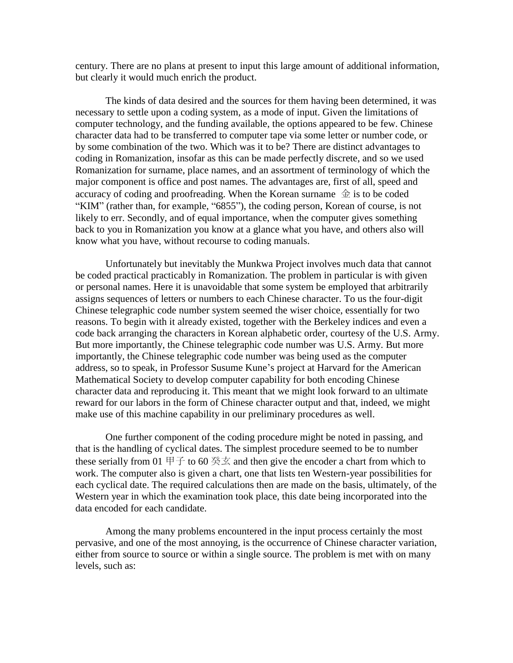century. There are no plans at present to input this large amount of additional information, but clearly it would much enrich the product.

The kinds of data desired and the sources for them having been determined, it was necessary to settle upon a coding system, as a mode of input. Given the limitations of computer technology, and the funding available, the options appeared to be few. Chinese character data had to be transferred to computer tape via some letter or number code, or by some combination of the two. Which was it to be? There are distinct advantages to coding in Romanization, insofar as this can be made perfectly discrete, and so we used Romanization for surname, place names, and an assortment of terminology of which the major component is office and post names. The advantages are, first of all, speed and accuracy of coding and proofreading. When the Korean surname  $\hat{\pm}$  is to be coded "KIM" (rather than, for example, "6855"), the coding person, Korean of course, is not likely to err. Secondly, and of equal importance, when the computer gives something back to you in Romanization you know at a glance what you have, and others also will know what you have, without recourse to coding manuals.

Unfortunately but inevitably the Munkwa Project involves much data that cannot be coded practical practicably in Romanization. The problem in particular is with given or personal names. Here it is unavoidable that some system be employed that arbitrarily assigns sequences of letters or numbers to each Chinese character. To us the four-digit Chinese telegraphic code number system seemed the wiser choice, essentially for two reasons. To begin with it already existed, together with the Berkeley indices and even a code back arranging the characters in Korean alphabetic order, courtesy of the U.S. Army. But more importantly, the Chinese telegraphic code number was U.S. Army. But more importantly, the Chinese telegraphic code number was being used as the computer address, so to speak, in Professor Susume Kune's project at Harvard for the American Mathematical Society to develop computer capability for both encoding Chinese character data and reproducing it. This meant that we might look forward to an ultimate reward for our labors in the form of Chinese character output and that, indeed, we might make use of this machine capability in our preliminary procedures as well.

One further component of the coding procedure might be noted in passing, and that is the handling of cyclical dates. The simplest procedure seemed to be to number these serially from 01  $\boxplus \pm$  to 60  $\cong \times \times$  and then give the encoder a chart from which to work. The computer also is given a chart, one that lists ten Western-year possibilities for each cyclical date. The required calculations then are made on the basis, ultimately, of the Western year in which the examination took place, this date being incorporated into the data encoded for each candidate.

Among the many problems encountered in the input process certainly the most pervasive, and one of the most annoying, is the occurrence of Chinese character variation, either from source to source or within a single source. The problem is met with on many levels, such as: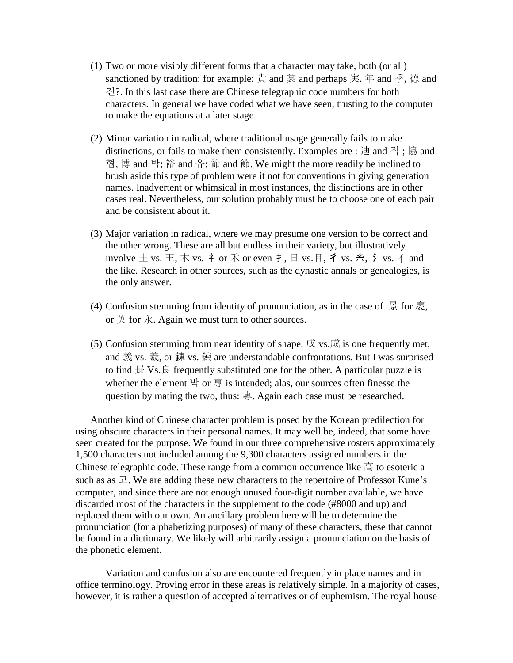- (1) Two or more visibly different forms that a character may take, both (or all) sanctioned by tradition: for example:  $\exists$  and 裳 and perhaps 実. 年 and 季, 德 and 진?. In this last case there are Chinese telegraphic code numbers for both characters. In general we have coded what we have seen, trusting to the computer to make the equations at a later stage.
- (2) Minor variation in radical, where traditional usage generally fails to make distinctions, or fails to make them consistently. Examples are : 迪 and 적 ; 協 and 협, 博 and 박; 裕 and 유; 節 and 節. We might the more readily be inclined to brush aside this type of problem were it not for conventions in giving generation names. Inadvertent or whimsical in most instances, the distinctions are in other cases real. Nevertheless, our solution probably must be to choose one of each pair and be consistent about it.
- (3) Major variation in radical, where we may presume one version to be correct and the other wrong. These are all but endless in their variety, but illustratively involve  $\pm$  vs.  $\pm$ , 木 vs. 礻 or 禾 or even 扌, 日 vs. 目, 彳 vs. 糸, 氵 vs. 亻 and the like. Research in other sources, such as the dynastic annals or genealogies, is the only answer.
- (4) Confusion stemming from identity of pronunciation, as in the case of  $\frac{1}{5}$  for 慶, or  $\ddot{\mathcal{F}}$  for  $\dot{\mathcal{F}}$ . Again we must turn to other sources.
- (5) Confusion stemming from near identity of shape.  $\dot{\mathbb{R}}$  vs.  $\dot{\mathbb{R}}$  is one frequently met, and 義 vs. 羲, or 錬 vs. 鍊 are understandable confrontations. But I was surprised to find  $\overline{\mathbb{R}}$  Vs.  $\overline{\mathbb{R}}$  frequently substituted one for the other. A particular puzzle is whether the element  $\exists$  or  $\bar{a}$  is intended; alas, our sources often finesse the question by mating the two, thus: 專. Again each case must be researched.

Another kind of Chinese character problem is posed by the Korean predilection for using obscure characters in their personal names. It may well be, indeed, that some have seen created for the purpose. We found in our three comprehensive rosters approximately 1,500 characters not included among the 9,300 characters assigned numbers in the Chinese telegraphic code. These range from a common occurrence like 高 to esoteric a such as as  $\mathcal{I}$ . We are adding these new characters to the repertoire of Professor Kune's computer, and since there are not enough unused four-digit number available, we have discarded most of the characters in the supplement to the code (#8000 and up) and replaced them with our own. An ancillary problem here will be to determine the pronunciation (for alphabetizing purposes) of many of these characters, these that cannot be found in a dictionary. We likely will arbitrarily assign a pronunciation on the basis of the phonetic element.

Variation and confusion also are encountered frequently in place names and in office terminology. Proving error in these areas is relatively simple. In a majority of cases, however, it is rather a question of accepted alternatives or of euphemism. The royal house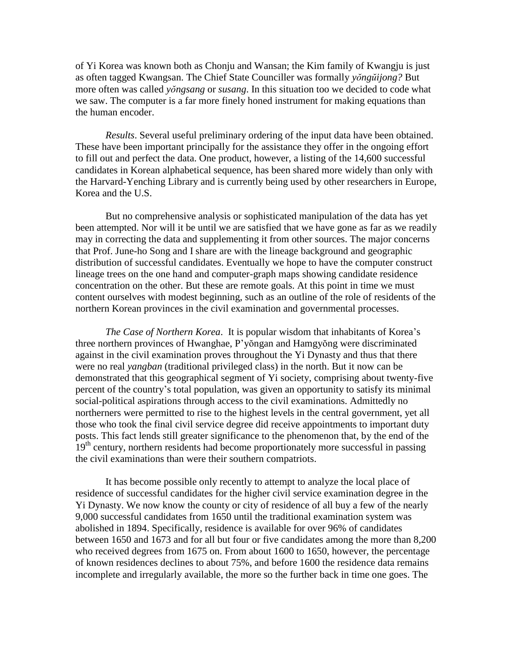of Yi Korea was known both as Chonju and Wansan; the Kim family of Kwangju is just as often tagged Kwangsan. The Chief State Counciller was formally *yŏngŭijong?* But more often was called *yŏngsang* or *susang*. In this situation too we decided to code what we saw. The computer is a far more finely honed instrument for making equations than the human encoder.

*Results*. Several useful preliminary ordering of the input data have been obtained. These have been important principally for the assistance they offer in the ongoing effort to fill out and perfect the data. One product, however, a listing of the 14,600 successful candidates in Korean alphabetical sequence, has been shared more widely than only with the Harvard-Yenching Library and is currently being used by other researchers in Europe, Korea and the U.S.

But no comprehensive analysis or sophisticated manipulation of the data has yet been attempted. Nor will it be until we are satisfied that we have gone as far as we readily may in correcting the data and supplementing it from other sources. The major concerns that Prof. June-ho Song and I share are with the lineage background and geographic distribution of successful candidates. Eventually we hope to have the computer construct lineage trees on the one hand and computer-graph maps showing candidate residence concentration on the other. But these are remote goals. At this point in time we must content ourselves with modest beginning, such as an outline of the role of residents of the northern Korean provinces in the civil examination and governmental processes.

*The Case of Northern Korea*. It is popular wisdom that inhabitants of Korea's three northern provinces of Hwanghae, P'yŏngan and Hamgyŏng were discriminated against in the civil examination proves throughout the Yi Dynasty and thus that there were no real *yangban* (traditional privileged class) in the north. But it now can be demonstrated that this geographical segment of Yi society, comprising about twenty-five percent of the country's total population, was given an opportunity to satisfy its minimal social-political aspirations through access to the civil examinations. Admittedly no northerners were permitted to rise to the highest levels in the central government, yet all those who took the final civil service degree did receive appointments to important duty posts. This fact lends still greater significance to the phenomenon that, by the end of the  $19<sup>th</sup>$  century, northern residents had become proportionately more successful in passing the civil examinations than were their southern compatriots.

It has become possible only recently to attempt to analyze the local place of residence of successful candidates for the higher civil service examination degree in the Yi Dynasty. We now know the county or city of residence of all buy a few of the nearly 9,000 successful candidates from 1650 until the traditional examination system was abolished in 1894. Specifically, residence is available for over 96% of candidates between 1650 and 1673 and for all but four or five candidates among the more than 8,200 who received degrees from 1675 on. From about 1600 to 1650, however, the percentage of known residences declines to about 75%, and before 1600 the residence data remains incomplete and irregularly available, the more so the further back in time one goes. The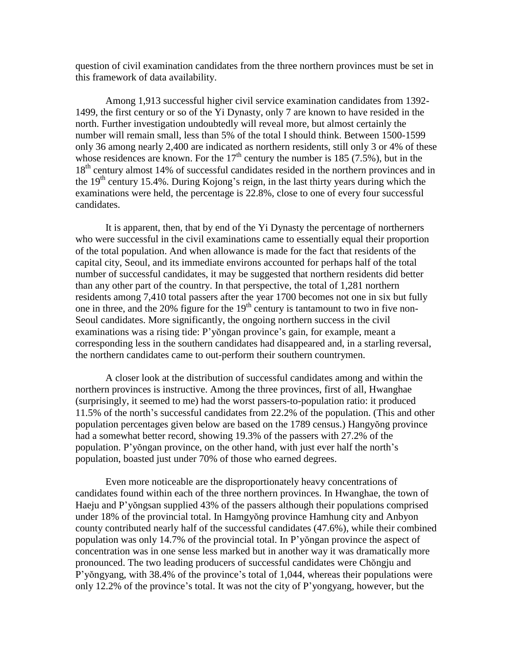question of civil examination candidates from the three northern provinces must be set in this framework of data availability.

Among 1,913 successful higher civil service examination candidates from 1392- 1499, the first century or so of the Yi Dynasty, only 7 are known to have resided in the north. Further investigation undoubtedly will reveal more, but almost certainly the number will remain small, less than 5% of the total I should think. Between 1500-1599 only 36 among nearly 2,400 are indicated as northern residents, still only 3 or 4% of these whose residences are known. For the  $17<sup>th</sup>$  century the number is 185 (7.5%), but in the 18<sup>th</sup> century almost 14% of successful candidates resided in the northern provinces and in the  $19<sup>th</sup>$  century 15.4%. During Kojong's reign, in the last thirty years during which the examinations were held, the percentage is 22.8%, close to one of every four successful candidates.

It is apparent, then, that by end of the Yi Dynasty the percentage of northerners who were successful in the civil examinations came to essentially equal their proportion of the total population. And when allowance is made for the fact that residents of the capital city, Seoul, and its immediate environs accounted for perhaps half of the total number of successful candidates, it may be suggested that northern residents did better than any other part of the country. In that perspective, the total of 1,281 northern residents among 7,410 total passers after the year 1700 becomes not one in six but fully one in three, and the  $20\%$  figure for the  $19<sup>th</sup>$  century is tantamount to two in five non-Seoul candidates. More significantly, the ongoing northern success in the civil examinations was a rising tide: P'yŏngan province's gain, for example, meant a corresponding less in the southern candidates had disappeared and, in a starling reversal, the northern candidates came to out-perform their southern countrymen.

A closer look at the distribution of successful candidates among and within the northern provinces is instructive. Among the three provinces, first of all, Hwanghae (surprisingly, it seemed to me) had the worst passers-to-population ratio: it produced 11.5% of the north's successful candidates from 22.2% of the population. (This and other population percentages given below are based on the 1789 census.) Hangyŏng province had a somewhat better record, showing 19.3% of the passers with 27.2% of the population. P'yŏngan province, on the other hand, with just ever half the north's population, boasted just under 70% of those who earned degrees.

Even more noticeable are the disproportionately heavy concentrations of candidates found within each of the three northern provinces. In Hwanghae, the town of Haeju and P'yŏngsan supplied 43% of the passers although their populations comprised under 18% of the provincial total. In Hamgyŏng province Hamhung city and Anbyon county contributed nearly half of the successful candidates (47.6%), while their combined population was only 14.7% of the provincial total. In P'yŏngan province the aspect of concentration was in one sense less marked but in another way it was dramatically more pronounced. The two leading producers of successful candidates were Chŏngju and P'yŏngyang, with 38.4% of the province's total of 1,044, whereas their populations were only 12.2% of the province's total. It was not the city of P'yongyang, however, but the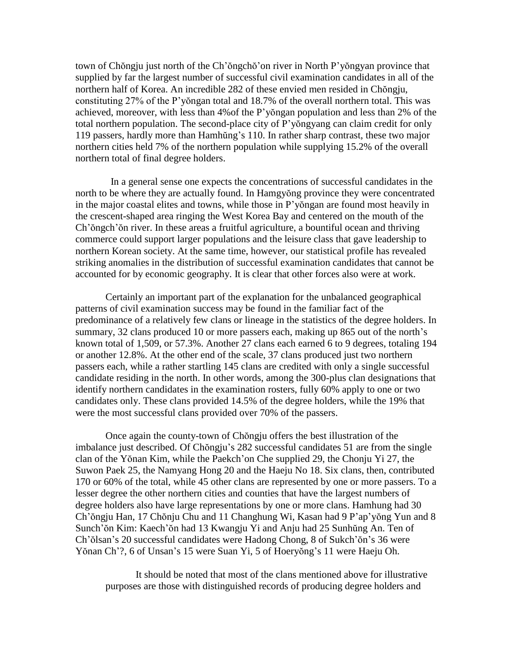town of Chŏngju just north of the Ch'ŏngchŏ'on river in North P'yŏngyan province that supplied by far the largest number of successful civil examination candidates in all of the northern half of Korea. An incredible 282 of these envied men resided in Chŏngju, constituting 27% of the P'yŏngan total and 18.7% of the overall northern total. This was achieved, moreover, with less than 4%of the P'yŏngan population and less than 2% of the total northern population. The second-place city of P'yŏngyang can claim credit for only 119 passers, hardly more than Hamhŭng's 110. In rather sharp contrast, these two major northern cities held 7% of the northern population while supplying 15.2% of the overall northern total of final degree holders.

 In a general sense one expects the concentrations of successful candidates in the north to be where they are actually found. In Hamgyŏng province they were concentrated in the major coastal elites and towns, while those in P'yŏngan are found most heavily in the crescent-shaped area ringing the West Korea Bay and centered on the mouth of the Ch'ŏngch'ŏn river. In these areas a fruitful agriculture, a bountiful ocean and thriving commerce could support larger populations and the leisure class that gave leadership to northern Korean society. At the same time, however, our statistical profile has revealed striking anomalies in the distribution of successful examination candidates that cannot be accounted for by economic geography. It is clear that other forces also were at work.

Certainly an important part of the explanation for the unbalanced geographical patterns of civil examination success may be found in the familiar fact of the predominance of a relatively few clans or lineage in the statistics of the degree holders. In summary, 32 clans produced 10 or more passers each, making up 865 out of the north's known total of 1,509, or 57.3%. Another 27 clans each earned 6 to 9 degrees, totaling 194 or another 12.8%. At the other end of the scale, 37 clans produced just two northern passers each, while a rather startling 145 clans are credited with only a single successful candidate residing in the north. In other words, among the 300-plus clan designations that identify northern candidates in the examination rosters, fully 60% apply to one or two candidates only. These clans provided 14.5% of the degree holders, while the 19% that were the most successful clans provided over 70% of the passers.

Once again the county-town of Chŏngju offers the best illustration of the imbalance just described. Of Chŏngju's 282 successful candidates 51 are from the single clan of the Yŏnan Kim, while the Paekch'on Che supplied 29, the Chonju Yi 27, the Suwon Paek 25, the Namyang Hong 20 and the Haeju No 18. Six clans, then, contributed 170 or 60% of the total, while 45 other clans are represented by one or more passers. To a lesser degree the other northern cities and counties that have the largest numbers of degree holders also have large representations by one or more clans. Hamhung had 30 Ch'ŏngju Han, 17 Chŏnju Chu and 11 Changhung Wi, Kasan had 9 P'ap'yŏng Yun and 8 Sunch'ŏn Kim: Kaech'ŏn had 13 Kwangju Yi and Anju had 25 Sunhŭng An. Ten of Ch'ŏlsan's 20 successful candidates were Hadong Chong, 8 of Sukch'ŏn's 36 were Yŏnan Ch'?, 6 of Unsan's 15 were Suan Yi, 5 of Hoeryŏng's 11 were Haeju Oh.

It should be noted that most of the clans mentioned above for illustrative purposes are those with distinguished records of producing degree holders and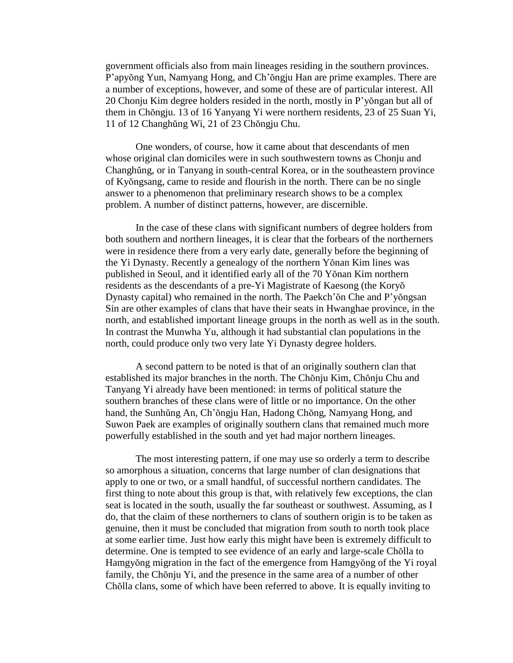government officials also from main lineages residing in the southern provinces. P'apyŏng Yun, Namyang Hong, and Ch'ŏngju Han are prime examples. There are a number of exceptions, however, and some of these are of particular interest. All 20 Chonju Kim degree holders resided in the north, mostly in P'yŏngan but all of them in Chŏngju. 13 of 16 Yanyang Yi were northern residents, 23 of 25 Suan Yi, 11 of 12 Changhŭng Wi, 21 of 23 Chŏngju Chu.

One wonders, of course, how it came about that descendants of men whose original clan domiciles were in such southwestern towns as Chonju and Changhŭng, or in Tanyang in south-central Korea, or in the southeastern province of Kyŏngsang, came to reside and flourish in the north. There can be no single answer to a phenomenon that preliminary research shows to be a complex problem. A number of distinct patterns, however, are discernible.

In the case of these clans with significant numbers of degree holders from both southern and northern lineages, it is clear that the forbears of the northerners were in residence there from a very early date, generally before the beginning of the Yi Dynasty. Recently a genealogy of the northern Yŏnan Kim lines was published in Seoul, and it identified early all of the 70 Yŏnan Kim northern residents as the descendants of a pre-Yi Magistrate of Kaesong (the Koryŏ Dynasty capital) who remained in the north. The Paekch'ŏn Che and P'yŏngsan Sin are other examples of clans that have their seats in Hwanghae province, in the north, and established important lineage groups in the north as well as in the south. In contrast the Munwha Yu, although it had substantial clan populations in the north, could produce only two very late Yi Dynasty degree holders.

A second pattern to be noted is that of an originally southern clan that established its major branches in the north. The Chŏnju Kim, Chŏnju Chu and Tanyang Yi already have been mentioned: in terms of political stature the southern branches of these clans were of little or no importance. On the other hand, the Sunhŭng An, Ch'ŏngju Han, Hadong Chŏng, Namyang Hong, and Suwon Paek are examples of originally southern clans that remained much more powerfully established in the south and yet had major northern lineages.

The most interesting pattern, if one may use so orderly a term to describe so amorphous a situation, concerns that large number of clan designations that apply to one or two, or a small handful, of successful northern candidates. The first thing to note about this group is that, with relatively few exceptions, the clan seat is located in the south, usually the far southeast or southwest. Assuming, as I do, that the claim of these northerners to clans of southern origin is to be taken as genuine, then it must be concluded that migration from south to north took place at some earlier time. Just how early this might have been is extremely difficult to determine. One is tempted to see evidence of an early and large-scale Chŏlla to Hamgyŏng migration in the fact of the emergence from Hamgyŏng of the Yi royal family, the Chŏnju Yi, and the presence in the same area of a number of other Chŏlla clans, some of which have been referred to above. It is equally inviting to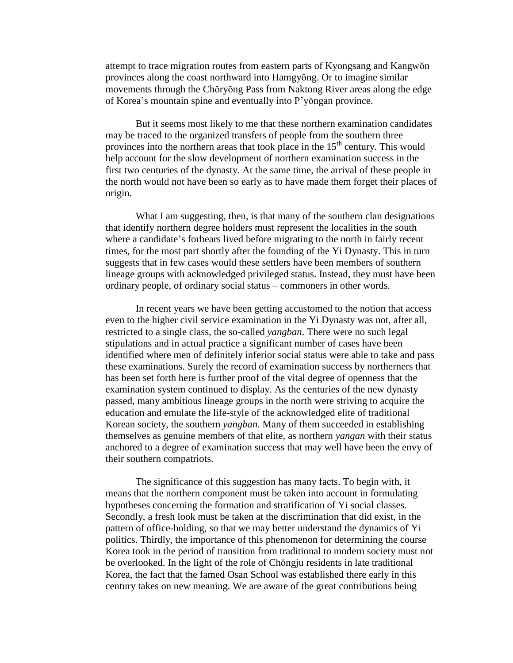attempt to trace migration routes from eastern parts of Kyongsang and Kangwŏn provinces along the coast northward into Hamgyŏng. Or to imagine similar movements through the Chŏryŏng Pass from Naktong River areas along the edge of Korea's mountain spine and eventually into P'yŏngan province.

But it seems most likely to me that these northern examination candidates may be traced to the organized transfers of people from the southern three provinces into the northern areas that took place in the 15<sup>th</sup> century. This would help account for the slow development of northern examination success in the first two centuries of the dynasty. At the same time, the arrival of these people in the north would not have been so early as to have made them forget their places of origin.

What I am suggesting, then, is that many of the southern clan designations that identify northern degree holders must represent the localities in the south where a candidate's forbears lived before migrating to the north in fairly recent times, for the most part shortly after the founding of the Yi Dynasty. This in turn suggests that in few cases would these settlers have been members of southern lineage groups with acknowledged privileged status. Instead, they must have been ordinary people, of ordinary social status – commoners in other words.

In recent years we have been getting accustomed to the notion that access even to the higher civil service examination in the Yi Dynasty was not, after all, restricted to a single class, the so-called *yangban*. There were no such legal stipulations and in actual practice a significant number of cases have been identified where men of definitely inferior social status were able to take and pass these examinations. Surely the record of examination success by northerners that has been set forth here is further proof of the vital degree of openness that the examination system continued to display. As the centuries of the new dynasty passed, many ambitious lineage groups in the north were striving to acquire the education and emulate the life-style of the acknowledged elite of traditional Korean society, the southern *yangban.* Many of them succeeded in establishing themselves as genuine members of that elite, as northern *yangan* with their status anchored to a degree of examination success that may well have been the envy of their southern compatriots.

The significance of this suggestion has many facts. To begin with, it means that the northern component must be taken into account in formulating hypotheses concerning the formation and stratification of Yi social classes. Secondly, a fresh look must be taken at the discrimination that did exist, in the pattern of office-holding, so that we may better understand the dynamics of Yi politics. Thirdly, the importance of this phenomenon for determining the course Korea took in the period of transition from traditional to modern society must not be overlooked. In the light of the role of Chŏngju residents in late traditional Korea, the fact that the famed Osan School was established there early in this century takes on new meaning. We are aware of the great contributions being